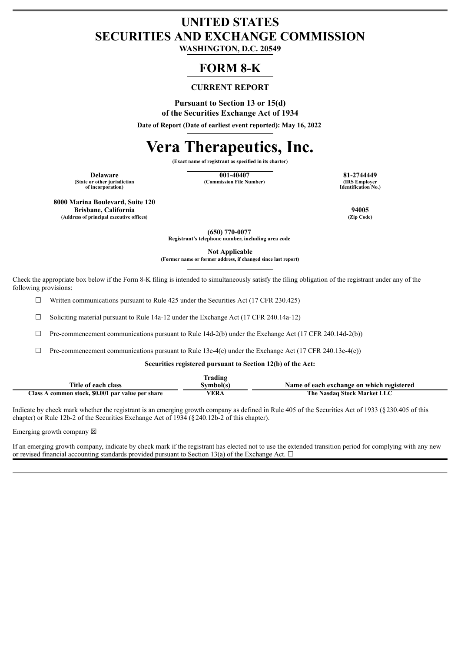## **UNITED STATES SECURITIES AND EXCHANGE COMMISSION**

**WASHINGTON, D.C. 20549**

### **FORM 8-K**

#### **CURRENT REPORT**

**Pursuant to Section 13 or 15(d) of the Securities Exchange Act of 1934**

**Date of Report (Date of earliest event reported): May 16, 2022**

# **Vera Therapeutics, Inc.**

**(Exact name of registrant as specified in its charter)**

**(State or other jurisdiction of incorporation)**

**Delaware 001-40407 81-2744449 (Commission File Number)** 

**Identification No.)**

**8000 Marina Boulevard, Suite 120**

**Brisbane, California 94005**  $(Address of principal executive offices)$ 

**(650) 770-0077 Registrant's telephone number, including area code**

**Not Applicable**

**(Former name or former address, if changed since last report)**

Check the appropriate box below if the Form 8-K filing is intended to simultaneously satisfy the filing obligation of the registrant under any of the following provisions:

☐ Written communications pursuant to Rule 425 under the Securities Act (17 CFR 230.425)

 $\Box$  Soliciting material pursuant to Rule 14a-12 under the Exchange Act (17 CFR 240.14a-12)

 $\Box$  Pre-commencement communications pursuant to Rule 14d-2(b) under the Exchange Act (17 CFR 240.14d-2(b))

 $\Box$  Pre-commencement communications pursuant to Rule 13e-4(c) under the Exchange Act (17 CFR 240.13e-4(c))

#### **Securities registered pursuant to Section 12(b) of the Act:**

|                                                   | Fradıng   |                                           |
|---------------------------------------------------|-----------|-------------------------------------------|
| Title of each class                               | Svmbol(s) | Name of each exchange on which registered |
| Class A common stock, \$0.001 par value per share | VERA      | The Nasdaq Stock Market LLC               |

Indicate by check mark whether the registrant is an emerging growth company as defined in Rule 405 of the Securities Act of 1933 (§230.405 of this chapter) or Rule 12b-2 of the Securities Exchange Act of 1934 (§240.12b-2 of this chapter).

Emerging growth company  $\boxtimes$ 

If an emerging growth company, indicate by check mark if the registrant has elected not to use the extended transition period for complying with any new or revised financial accounting standards provided pursuant to Section 13(a) of the Exchange Act.  $\Box$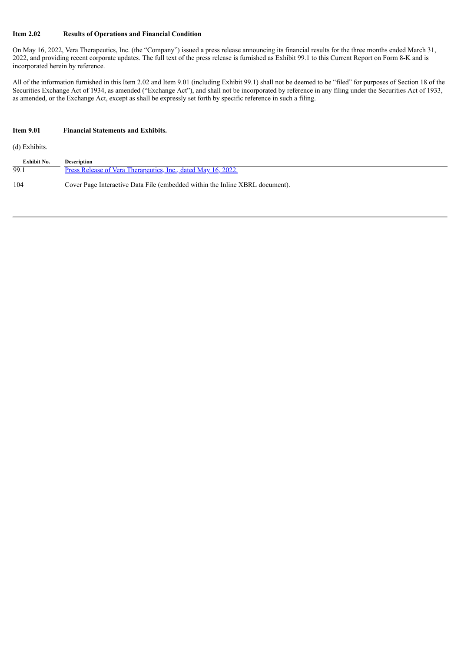#### **Item 2.02 Results of Operations and Financial Condition**

On May 16, 2022, Vera Therapeutics, Inc. (the "Company") issued a press release announcing its financial results for the three months ended March 31, 2022, and providing recent corporate updates. The full text of the press release is furnished as Exhibit 99.1 to this Current Report on Form 8-K and is incorporated herein by reference.

All of the information furnished in this Item 2.02 and Item 9.01 (including Exhibit 99.1) shall not be deemed to be "filed" for purposes of Section 18 of the Securities Exchange Act of 1934, as amended ("Exchange Act"), and shall not be incorporated by reference in any filing under the Securities Act of 1933, as amended, or the Exchange Act, except as shall be expressly set forth by specific reference in such a filing.

| <b>Item 9.01</b>   | <b>Financial Statements and Exhibits.</b>                                    |
|--------------------|------------------------------------------------------------------------------|
| (d) Exhibits.      |                                                                              |
| <b>Exhibit No.</b> | <b>Description</b>                                                           |
| 99.1               | Press Release of Vera Therapeutics, Inc., dated May 16, 2022.                |
| 104                | Cover Page Interactive Data File (embedded within the Inline XBRL document). |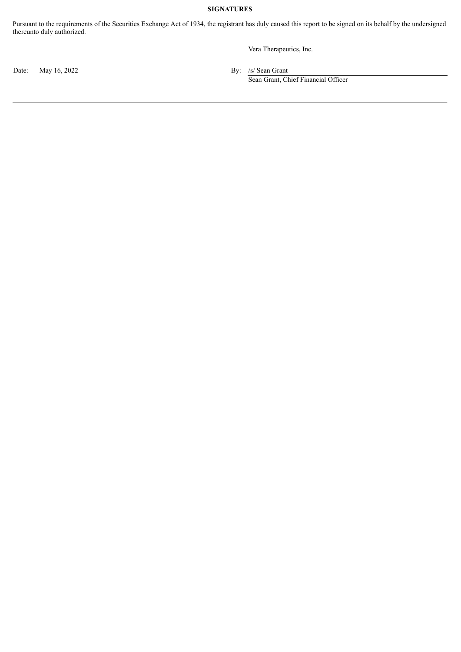#### **SIGNATURES**

Pursuant to the requirements of the Securities Exchange Act of 1934, the registrant has duly caused this report to be signed on its behalf by the undersigned thereunto duly authorized.

Vera Therapeutics, Inc.

Date: May 16, 2022 By: /s/ Sean Grant

Sean Grant, Chief Financial Officer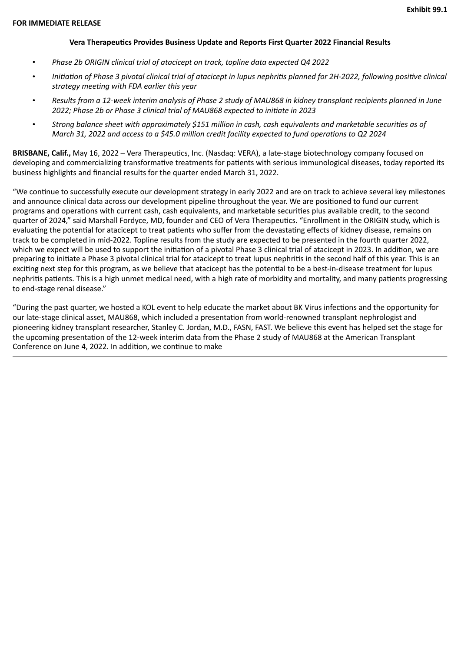#### **Vera Therapeutics Provides Business Update and Reports First Quarter 2022 Financial Results**

- <span id="page-3-0"></span>• *Phase 2b ORIGIN clinical trial of atacicept on track, topline data expected Q4 2022*
- *Initiation of Phase 3 pivotal clinical trial of atacicept in lupus nephritis planned for 2H-2022, following positive clinical strategy meeting with FDA earlier this year*
- *Results from a 12-week interim analysis of Phase 2 study of MAU868 in kidney transplant recipients planned in June 2022; Phase 2b or Phase 3 clinical trial of MAU868 expected to initiate in 2023*
- *Strong balance sheet with approximately \$151 million in cash, cash equivalents and marketable securities as of March 31, 2022 and access to a \$45.0 million credit facility expected to fund operations to Q2 2024*

**BRISBANE, Calif.,** May 16, 2022 – Vera Therapeutics, Inc. (Nasdaq: VERA), a late-stage biotechnology company focused on developing and commercializing transformative treatments for patients with serious immunological diseases, today reported its business highlights and financial results for the quarter ended March 31, 2022.

"We continue to successfully execute our development strategy in early 2022 and are on track to achieve several key milestones and announce clinical data across our development pipeline throughout the year. We are positioned to fund our current programs and operations with current cash, cash equivalents, and marketable securities plus available credit, to the second quarter of 2024," said Marshall Fordyce, MD, founder and CEO of Vera Therapeutics. "Enrollment in the ORIGIN study, which is evaluating the potential for atacicept to treat patients who suffer from the devastating effects of kidney disease, remains on track to be completed in mid-2022. Topline results from the study are expected to be presented in the fourth quarter 2022, which we expect will be used to support the initiation of a pivotal Phase 3 clinical trial of atacicept in 2023. In addition, we are preparing to initiate a Phase 3 pivotal clinical trial for atacicept to treat lupus nephritis in the second half of this year. This is an exciting next step for this program, as we believe that atacicept has the potential to be a best-in-disease treatment for lupus nephritis patients. This is a high unmet medical need, with a high rate of morbidity and mortality, and many patients progressing to end-stage renal disease."

"During the past quarter, we hosted a KOL event to help educate the market about BK Virus infections and the opportunity for our late-stage clinical asset, MAU868, which included a presentation from world-renowned transplant nephrologist and pioneering kidney transplant researcher, Stanley C. Jordan, M.D., FASN, FAST. We believe this event has helped set the stage for the upcoming presentation of the 12-week interim data from the Phase 2 study of MAU868 at the American Transplant Conference on June 4, 2022. In addition, we continue to make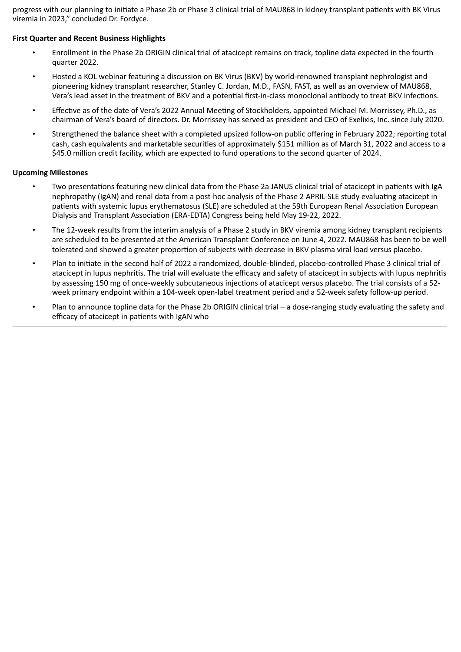progress with our planning to initiate a Phase 2b or Phase 3 clinical trial of MAU868 in kidney transplant patients with BK Virus viremia in 2023," concluded Dr. Fordyce.

#### **First Quarter and Recent Business Highlights**

- Enrollment in the Phase 2b ORIGIN clinical trial of atacicept remains on track, topline data expected in the fourth quarter 2022.
- Hosted a KOL webinar featuring a discussion on BK Virus (BKV) by world-renowned transplant nephrologist and pioneering kidney transplant researcher, Stanley C. Jordan, M.D., FASN, FAST, as well as an overview of MAU868, Vera's lead asset in the treatment of BKV and a potential first-in-class monoclonal antibody to treat BKV infections.
- Effective as of the date of Vera's 2022 Annual Meeting of Stockholders, appointed Michael M. Morrissey, Ph.D., as chairman of Vera's board of directors. Dr. Morrissey has served as president and CEO of Exelixis, Inc. since July 2020.
- Strengthened the balance sheet with a completed upsized follow-on public offering in February 2022; reporting total cash, cash equivalents and marketable securities of approximately \$151 million as of March 31, 2022 and access to a \$45.0 million credit facility, which are expected to fund operations to the second quarter of 2024.

#### **Upcoming Milestones**

- Two presentations featuring new clinical data from the Phase 2a JANUS clinical trial of atacicept in patients with IgA nephropathy (IgAN) and renal data from a post-hoc analysis of the Phase 2 APRIL-SLE study evaluating atacicept in patients with systemic lupus erythematosus (SLE) are scheduled at the 59th European Renal Association European Dialysis and Transplant Association (ERA-EDTA) Congress being held May 19-22, 2022.
- The 12-week results from the interim analysis of a Phase 2 study in BKV viremia among kidney transplant recipients are scheduled to be presented at the American Transplant Conference on June 4, 2022. MAU868 has been to be well tolerated and showed a greater proportion of subjects with decrease in BKV plasma viral load versus placebo.
- Plan to initiate in the second half of 2022 a randomized, double-blinded, placebo-controlled Phase 3 clinical trial of atacicept in lupus nephritis. The trial will evaluate the efficacy and safety of atacicept in subjects with lupus nephritis by assessing 150 mg of once-weekly subcutaneous injections of atacicept versus placebo. The trial consists of a 52 week primary endpoint within a 104-week open-label treatment period and a 52-week safety follow-up period.
- Plan to announce topline data for the Phase 2b ORIGIN clinical trial a dose-ranging study evaluating the safety and efficacy of atacicept in patients with IgAN who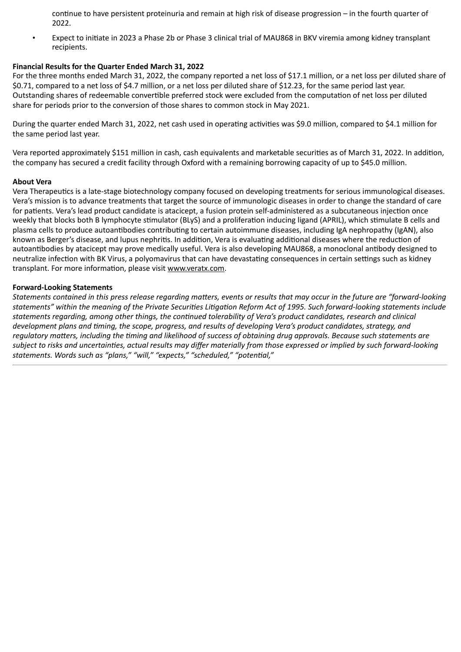continue to have persistent proteinuria and remain at high risk of disease progression – in the fourth quarter of 2022.

• Expect to initiate in 2023 a Phase 2b or Phase 3 clinical trial of MAU868 in BKV viremia among kidney transplant recipients.

#### **Financial Results for the Quarter Ended March 31, 2022**

For the three months ended March 31, 2022, the company reported a net loss of \$17.1 million, or a net loss per diluted share of \$0.71, compared to a net loss of \$4.7 million, or a net loss per diluted share of \$12.23, for the same period last year. Outstanding shares of redeemable convertible preferred stock were excluded from the computation of net loss per diluted share for periods prior to the conversion of those shares to common stock in May 2021.

During the quarter ended March 31, 2022, net cash used in operating activities was \$9.0 million, compared to \$4.1 million for the same period last year.

Vera reported approximately \$151 million in cash, cash equivalents and marketable securities as of March 31, 2022. In addition, the company has secured a credit facility through Oxford with a remaining borrowing capacity of up to \$45.0 million.

#### **About Vera**

Vera Therapeutics is a late-stage biotechnology company focused on developing treatments for serious immunological diseases. Vera's mission is to advance treatments that target the source of immunologic diseases in order to change the standard of care for patients. Vera's lead product candidate is atacicept, a fusion protein self-administered as a subcutaneous injection once weekly that blocks both B lymphocyte stimulator (BLyS) and a proliferation inducing ligand (APRIL), which stimulate B cells and plasma cells to produce autoantibodies contributing to certain autoimmune diseases, including IgA nephropathy (IgAN), also known as Berger's disease, and lupus nephritis. In addition, Vera is evaluating additional diseases where the reduction of autoantibodies by atacicept may prove medically useful. Vera is also developing MAU868, a monoclonal antibody designed to neutralize infection with BK Virus, a polyomavirus that can have devastating consequences in certain settings such as kidney transplant. For more information, please visit www.veratx.com.

#### **Forward-Looking Statements**

*Statements contained in this press release regarding matters, events or results that may occur in the future are "forward-looking statements" within the meaning of the Private Securities Litigation Reform Act of 1995. Such forward-looking statements include statements regarding, among other things, the continued tolerability of Vera's product candidates, research and clinical development plans and timing, the scope, progress, and results of developing Vera's product candidates, strategy, and regulatory matters, including the timing and likelihood of success of obtaining drug approvals. Because such statements are subject to risks and uncertainties, actual results may differ materially from those expressed or implied by such forward-looking statements. Words such as "plans," "will," "expects," "scheduled," "potential,"*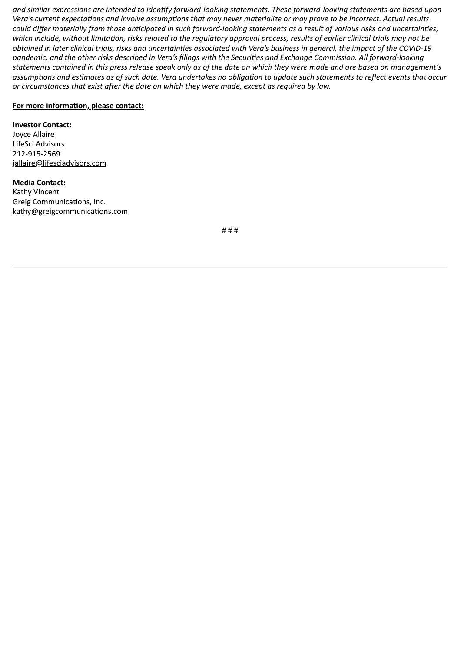*and similar expressions are intended to identify forward-looking statements. These forward-looking statements are based upon Vera's current expectations and involve assumptions that may never materialize or may prove to be incorrect. Actual results could differ materially from those anticipated in such forward-looking statements as a result of various risks and uncertainties, which include, without limitation, risks related to the regulatory approval process, results of earlier clinical trials may not be obtained in later clinical trials, risks and uncertainties associated with Vera's business in general, the impact of the COVID-19 pandemic, and the other risks described in Vera's filings with the Securities and Exchange Commission. All forward-looking statements contained in this press release speak only as of the date on which they were made and are based on management's assumptions and estimates as of such date. Vera undertakes no obligation to update such statements to reflect events that occur or circumstances that exist after the date on which they were made, except as required by law.*

#### **For more information, please contact:**

#### **Investor Contact:**

Joyce Allaire LifeSci Advisors 212-915-2569 jallaire@lifesciadvisors.com

**Media Contact:** Kathy Vincent Greig Communications, Inc. kathy@greigcommunications.com

# # #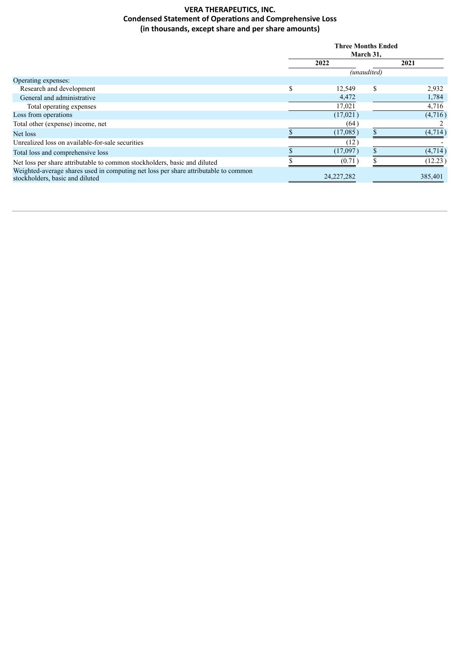#### **VERA THERAPEUTICS, INC. Condensed Statement of Operations and Comprehensive Loss (in thousands, except share and per share amounts)**

|                                                                                                                        | <b>Three Months Ended</b><br>March 31, |              |         |  |
|------------------------------------------------------------------------------------------------------------------------|----------------------------------------|--------------|---------|--|
|                                                                                                                        |                                        |              |         |  |
|                                                                                                                        | 2022                                   |              | 2021    |  |
|                                                                                                                        | (unaudited)                            |              |         |  |
| Operating expenses:                                                                                                    |                                        |              |         |  |
| Research and development                                                                                               | \$                                     | \$<br>12,549 | 2,932   |  |
| General and administrative                                                                                             |                                        | 4,472        | 1,784   |  |
| Total operating expenses                                                                                               | 17,021                                 |              | 4,716   |  |
| Loss from operations                                                                                                   |                                        | (17,021)     | (4,716) |  |
| Total other (expense) income, net                                                                                      |                                        | (64)         |         |  |
| Net loss                                                                                                               | (17,085)                               | $\triangle$  | (4,714) |  |
| Unrealized loss on available-for-sale securities                                                                       |                                        | (12)         |         |  |
| Total loss and comprehensive loss                                                                                      | (17,097)                               |              | (4,714) |  |
| Net loss per share attributable to common stockholders, basic and diluted                                              |                                        | (0.71)       | (12.23) |  |
| Weighted-average shares used in computing net loss per share attributable to common<br>stockholders, basic and diluted | 24, 227, 282                           |              | 385,401 |  |